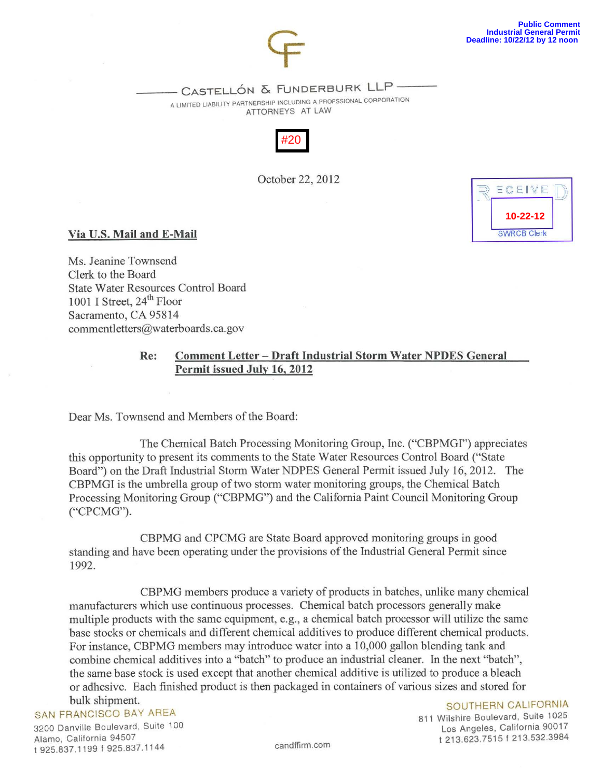

**10-22-12**

**SWRCB Clerk** 

-~~ [CY

ECEIVE

CASTELLÓN & FUNDERBURK LLP A LIMITED LIABILITY PARTNERSHIP INCLUDING A PROFSSIONAL CORPORATION

ATTORNEYS AT LAW



October 22, 2012

## Via U.S. Mail and E-Mail

Ms. Jeanine Townsend Clerk to the Board State Water Resources Control Board 1001 I Street, 24<sup>th</sup> Floor Sacramento, CA 95814 commentletters@waterboards.ca.gov

# Re: Comment Letter - Draft Industrial Storm Water NPDES General Permit issued July 16, 2012

Dear Ms. Townsend and Members of the Board:

The Chemical Batch Processing Monitoring Group, Inc. ("CBPMGI") appreciates this opportunity to present its comments to the State Water Resources Control Board ("State Board") on the Draft Industrial Storm Water NDPES General Permit issued July 16, 2012. The CBPMGI is the umbrella group of two storm water monitoring groups, the Chemical Batch Processing Monitoring Group ("CBPMG") and the California Paint Council Monitoring Group ("CPCMG").

CBPMG and CPCMG are State Board approved monitoring groups in good standing and have been operating under the provisions of the Industrial General Permit since 1992.

CBPMG members produce a variety of products in batches, unlike many chemical manufacturers which use continuous processes. Chemical batch processors generally make multiple products with the same equipment, e.g., a chemical batch processor will utilize the same base stocks or chemicals and different chemical additives to produce different chemical products. For instance, CBPMG members may introduce water into a 10,000 gallon blending tank and combine chemical additives into a "batch" to produce an industrial cleaner. In the next "batch", the same base stock is used except that another chemical additive is utilized to produce a bleach or adhesive. Each finished product is then packaged in containers of various sizes and stored for bulk shipment.

## SAN FRANCISCO BAY AREA

3200 Danville Boulevard, Suite 100 Alamo, California 94507 1925.837.1199 f 925.837.1144 candffirm.com

SOUTHERN CALIFORNIA 811 Wilshire Boulevard, Suite 1025 Los Angeles, California 90017

1213.623.7515 f 213.5323984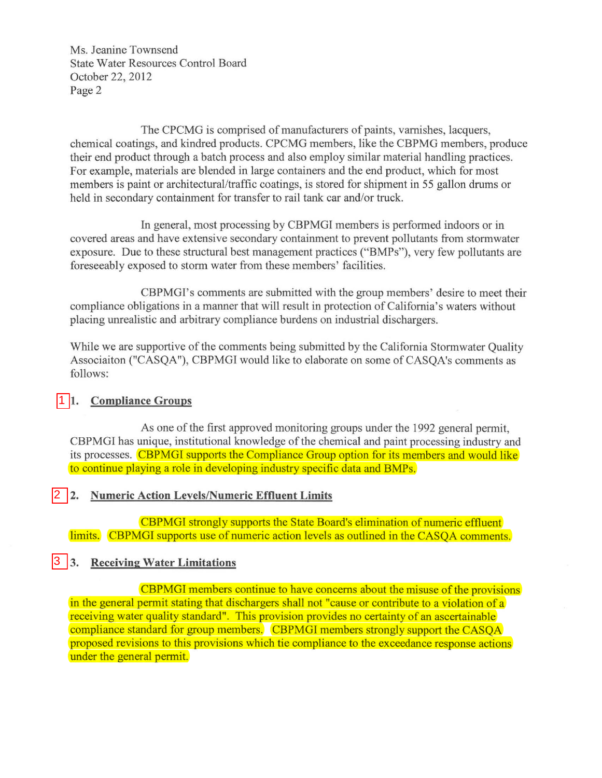Ms. Jeanine Townsend State Water Resources Control Board October 22, 2012 Page 2

The CPCMG is comprised of manufacturers of paints, varnishes, lacquers, chemical coatings, and kindred products. CPCMG members, like the CBPMG members, produce their end product through a batch process and also employ similar material handling practices. For example, materials are blended in large containers and the end product, which for most members is paint or architectural/traffic coatings, is stored for shipment in 55 gallon drums or held in secondary containment for transfer to rail tank car and/or truck.

In general, most processing by CBPMGI members is performed indoors or in covered areas and have extensive secondary containment to prevent pollutants from storm water exposure. Due to these structural best management practices ("BMPs"), very few pollutants are foreseeably exposed to storm water from these members' facilities.

CBPMGI's comments are submitted with the group members' desire to meet their compliance obligations in a manner that will result in protection of California's waters without placing unrealistic and arbitrary compliance burdens on industrial dischargers.

While we are supportive of the comments being submitted by the California Stormwater Quality Associaiton ("CASQA"), CBPMGI would like to elaborate on some of CASQA's comments as follows:

### **1. Compliance Groups**   $|1|1.$

As one of the first approved monitoring groups under the 1992 general permit, CBPMGI has unique, institutional knowledge of the chemical and paint processing industry and its processes. CBPMGI supports the Compliance Group option for its members and would like to continue playing a role in developing industry specific data and BMPs.

#### **Numeric Action Levels/Numeric Effluent Limits**  $|2|12|$

CBPMGI strongly supports the State Board's elimination of numeric effluent limits. CBPMGI supports use of numeric action levels as outlined in the CASOA comments.

### 3. **Receiving Water Limitations**   $3 \mid 3$ .

CBPMGI members continue to have concerns about the misuse of the provisions in the general permit stating that dischargers shall not "cause or contribute to a violation of a receiving water quality standard". This provision provides no certainty of an ascertainable compliance standard for group members. CBPMGl members strongly support the CASQA proposed revisions to this provisions which tie compliance to the exceedance response actions under the general permit.